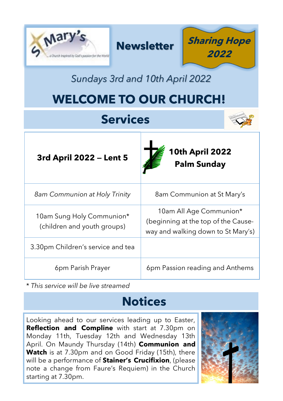| Mar                                                              | <b>Sharing Hope</b><br><b>Newsletter</b><br>2022                                                     |
|------------------------------------------------------------------|------------------------------------------------------------------------------------------------------|
| Sundays 3rd and 10th April 2022                                  |                                                                                                      |
| <b>WELCOME TO OUR CHURCH!</b>                                    |                                                                                                      |
| <b>Services</b>                                                  |                                                                                                      |
| 10th April 2022<br>3rd April 2022 - Lent 5<br><b>Palm Sunday</b> |                                                                                                      |
| 8am Communion at Holy Trinity                                    | 8am Communion at St Mary's                                                                           |
| 10am Sung Holy Communion*<br>(children and youth groups)         | 10am All Age Communion*<br>(beginning at the top of the Cause-<br>way and walking down to St Mary's) |
| 3.30pm Children's service and tea                                |                                                                                                      |
| 6pm Parish Prayer                                                | 6pm Passion reading and Anthems                                                                      |

\* *This service will be live streamed*

# **Notices**

Looking ahead to our services leading up to Easter, **Reflection and Compline** with start at 7.30pm on Monday 11th, Tuesday 12th and Wednesday 13th April. On Maundy Thursday (14th) **Communion and**  Watch is at 7.30pm and on Good Friday (15th), there will be a performance of **Stainer's Crucifixion**, (please note a change from Faure's Requiem) in the Church starting at 7.30pm.

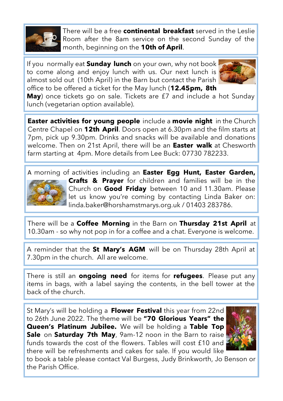

There will be a free **continental breakfast** served in the Leslie Room after the 8am service on the second Sunday of the month, beginning on the **10th of April**.

If you normally eat **Sunday lunch** on your own, why not book to come along and enjoy lunch with us. Our next lunch is almost sold out (10th April) in the Barn but contact the Parish office to be offered a ticket for the May lunch (**12.45pm, 8th** 



**May**) once tickets go on sale. Tickets are £7 and include a hot Sunday lunch (vegetarian option available).

**Easter activities for young people** include a **movie night** in the Church Centre Chapel on **12th April**. Doors open at 6.30pm and the film starts at 7pm, pick up 9.30pm. Drinks and snacks will be available and donations welcome. Then on 21st April, there will be an **Easter walk** at Chesworth farm starting at 4pm. More details from Lee Buck: 07730 782233.

A morning of activities including an **Easter Egg Hunt, Easter Garden,** 



**Crafts & Prayer** for children and families will be in the Church on **Good Friday** between 10 and 11.30am. Please let us know you're coming by contacting Linda Baker on: linda.baker@horshamstmarys.org.uk / 01403 283786.

There will be a **Coffee Morning** in the Barn on **Thursday 21st April** at 10.30am - so why not pop in for a coffee and a chat. Everyone is welcome.

A reminder that the **St Mary's AGM** will be on Thursday 28th April at 7.30pm in the church. All are welcome.

There is still an **ongoing need** for items for **refugees**. Please put any items in bags, with a label saying the contents, in the bell tower at the back of the church.

St Mary's will be holding a **Flower Festival** this year from 22nd to 26th June 2022. The theme will be **"70 Glorious Years" the Queen's Platinum Jubilee.** We will be holding a **Table Top Sale** on **Saturday 7th May**, 9am-12 noon in the Barn to raise funds towards the cost of the flowers. Tables will cost £10 and there will be refreshments and cakes for sale. If you would like



to book a table please contact Val Burgess, Judy Brinkworth, Jo Benson or the Parish Office.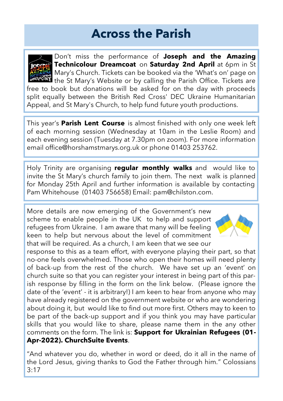### **Across the Parish**



Don't miss the performance of **Joseph and the Amazing Technicolour Dreamcoat** on **Saturday 2nd April** at 6pm in St **G** Mary's Church. Tickets can be booked via the 'What's on' page on **I** the St Mary's Website or by calling the Parish Office. Tickets are free to book but donations will be asked for on the day with proceeds split equally between the British Red Cross' DEC Ukraine Humanitarian Appeal, and St Mary's Church, to help fund future youth productions.

This year's **Parish Lent Course** is almost finished with only one week left of each morning session (Wednesday at 10am in the Leslie Room) and each evening session (Tuesday at 7.30pm on zoom). For more information email office@horshamstmarys.org.uk or phone 01403 253762.

Holy Trinity are organising **regular monthly walks** and would like to invite the St Mary's church family to join them. The next walk is planned for Monday 25th April and further information is available by contacting Pam Whitehouse (01403 756658) Email: pam@chilston.com.

More details are now emerging of the Government's new scheme to enable people in the UK to help and support refugees from Ukraine. I am aware that many will be feeling keen to help but nervous about the level of commitment that will be required. As a church, I am keen that we see our



response to this as a team effort, with everyone playing their part, so that no-one feels overwhelmed. Those who open their homes will need plenty of back-up from the rest of the church. We have set up an 'event' on church suite so that you can register your interest in being part of this parish response by filling in the form on the link below. (Please ignore the date of the 'event' - it is arbitrary!) I am keen to hear from anyone who may have already registered on the government website or who are wondering about doing it, but would like to find out more first. Others may to keen to be part of the back-up support and if you think you may have particular skills that you would like to share, please name them in the any other comments on the form. The link is: **Support for Ukrainian Refugees (01- Apr-2022). ChurchSuite Events**.

"And whatever you do, whether in word or deed, do it all in the name of the Lord Jesus, giving thanks to God the Father through him." Colossians 3:17